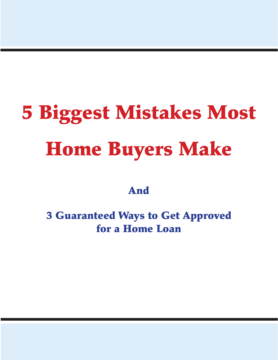# 5 Biggest Mistakes Most Home Buyers Make

And

3 Guaranteed Ways to Get Approved for a Home Loan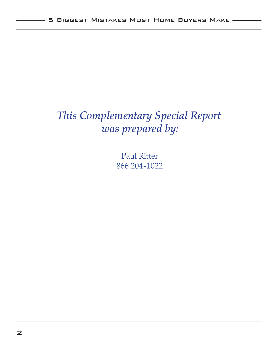# *This Complementary Special Report was prepared by:*

Paul Ritter 866 204-1022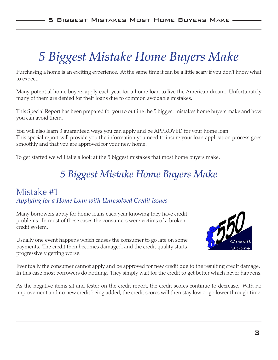# *5 Biggest Mistake Home Buyers Make*

Purchasing a home is an exciting experience. At the same time it can be a little scary if you don't know what to expect.

Many potential home buyers apply each year for a home loan to live the American dream. Unfortunately many of them are denied for their loans due to common avoidable mistakes.

This Special Report has been prepared for you to outline the 5 biggest mistakes home buyers make and how you can avoid them.

You will also learn 3 guaranteed ways you can apply and be APPROVED for your home loan. This special report will provide you the information you need to insure your loan application process goes smoothly and that you are approved for your new home.

To get started we will take a look at the 5 biggest mistakes that most home buyers make.

## *5 Biggest Mistake Home Buyers Make*

#### Mistake #1 *Applying for a Home Loan with Unresolved Credit Issues*

Many borrowers apply for home loans each year knowing they have credit problems. In most of these cases the consumers were victims of a broken credit system.

Usually one event happens which causes the consumer to go late on some payments. The credit then becomes damaged, and the credit quality starts progressively getting worse.



Eventually the consumer cannot apply and be approved for new credit due to the resulting credit damage. In this case most borrowers do nothing. They simply wait for the credit to get better which never happens.

As the negative items sit and fester on the credit report, the credit scores continue to decrease. With no improvement and no new credit being added, the credit scores will then stay low or go lower through time.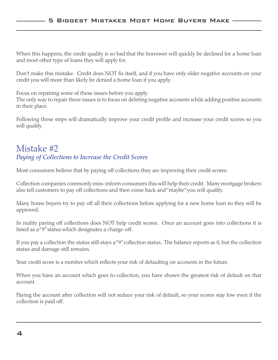When this happens, the credit quality is so bad that the borrower will quickly be declined for a home loan and most other type of loans they will apply for.

Don't make this mistake. Credit does NOT fix itself, and if you have only older negative accounts on your credit you will more than likely be denied a home loan if you apply.

Focus on repairing some of these issues before you apply.

The only way to repair these issues is to focus on deleting negative accounts while adding positive accounts in their place.

Following these steps will dramatically improve your credit profile and increase your credit scores so you will qualify.

#### Mistake #2 *Paying of Collections to Increase the Credit Scores*

Most consumers believe that by paying off collections they are improving their credit scores.

Collection companies commonly miss-inform consumers this will help their credit. Many mortgage brokers also tell customers to pay off collections and then come back and "maybe" you will qualify.

Many home buyers try to pay off all their collections before applying for a new home loan so they will be approved.

In reality paying off collections does NOT help credit scores. Once an account goes into collections it is listed as a "9" status which designates a charge-off.

If you pay a collection the status still stays a "9" collection status. The balance reports as 0, but the collection status and damage still remains.

Your credit score is a number which reflects your risk of defaulting on accounts in the future.

When you have an account which goes to collection, you have shown the greatest risk of default on that account.

Paying the account after collection will not reduce your risk of default, so your scores stay low even if the collection is paid off.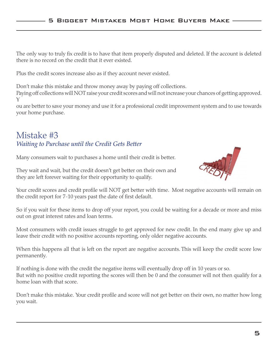The only way to truly fix credit is to have that item properly disputed and deleted. If the account is deleted there is no record on the credit that it ever existed.

Plus the credit scores increase also as if they account never existed.

Don't make this mistake and throw money away by paying off collections.

Paying off collections will NOT raise your credit scores and will not increase your chances of getting approved. Y

ou are better to save your money and use it for a professional credit improvement system and to use towards your home purchase.

#### Mistake #3 *Waiting to Purchase until the Credit Gets Better*

Many consumers wait to purchases a home until their credit is better.



They wait and wait, but the credit doesn't get better on their own and they are left forever waiting for their opportunity to qualify.

Your credit scores and credit profile will NOT get better with time. Most negative accounts will remain on the credit report for 7-10 years past the date of first default.

So if you wait for these items to drop off your report, you could be waiting for a decade or more and miss out on great interest rates and loan terms.

Most consumers with credit issues struggle to get approved for new credit. In the end many give up and leave their credit with no positive accounts reporting, only older negative accounts.

When this happens all that is left on the report are negative accounts. This will keep the credit score low permanently.

If nothing is done with the credit the negative items will eventually drop off in 10 years or so. But with no positive credit reporting the scores will then be 0 and the consumer will not then qualify for a home loan with that score.

Don't make this mistake. Your credit profile and score will not get better on their own, no matter how long you wait.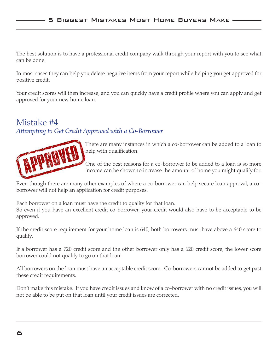The best solution is to have a professional credit company walk through your report with you to see what can be done.

In most cases they can help you delete negative items from your report while helping you get approved for positive credit.

Your credit scores will then increase, and you can quickly have a credit profile where you can apply and get approved for your new home loan.

#### Mistake #4 *Attempting to Get Credit Approved with a Co-Borrower*



There are many instances in which a co-borrower can be added to a loan to help with qualification.

One of the best reasons for a co-borrower to be added to a loan is so more income can be shown to increase the amount of home you might qualify for.

Even though there are many other examples of where a co-borrower can help secure loan approval, a coborrower will not help an application for credit purposes.

Each borrower on a loan must have the credit to qualify for that loan.

So even if you have an excellent credit co-borrower, your credit would also have to be acceptable to be approved.

If the credit score requirement for your home loan is 640, both borrowers must have above a 640 score to qualify.

If a borrower has a 720 credit score and the other borrower only has a 620 credit score, the lower score borrower could not qualify to go on that loan.

All borrowers on the loan must have an acceptable credit score. Co-borrowers cannot be added to get past these credit requirements.

Don't make this mistake. If you have credit issues and know of a co-borrower with no credit issues, you will not be able to be put on that loan until your credit issues are corrected.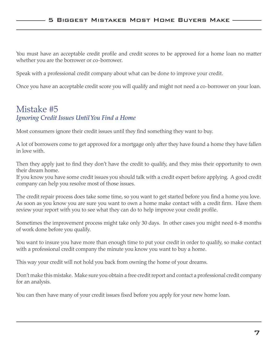You must have an acceptable credit profile and credit scores to be approved for a home loan no matter whether you are the borrower or co-borrower.

Speak with a professional credit company about what can be done to improve your credit.

Once you have an acceptable credit score you will qualify and might not need a co-borrower on your loan.

#### Mistake #5 *Ignoring Credit Issues Until You Find a Home*

Most consumers ignore their credit issues until they find something they want to buy.

A lot of borrowers come to get approved for a mortgage only after they have found a home they have fallen in love with.

Then they apply just to find they don't have the credit to qualify, and they miss their opportunity to own their dream home.

If you know you have some credit issues you should talk with a credit expert before applying. A good credit company can help you resolve most of those issues.

The credit repair process does take some time, so you want to get started before you find a home you love. As soon as you know you are sure you want to own a home make contact with a credit firm. Have them review your report with you to see what they can do to help improve your credit profile.

Sometimes the improvement process might take only 30 days. In other cases you might need 6-8 months of work done before you qualify.

You want to insure you have more than enough time to put your credit in order to qualify, so make contact with a professional credit company the minute you know you want to buy a home.

This way your credit will not hold you back from owning the home of your dreams.

Don't make this mistake. Make sure you obtain a free credit report and contact a professional credit company for an analysis.

You can then have many of your credit issues fixed before you apply for your new home loan.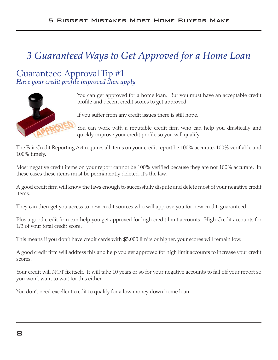# *3 Guaranteed Ways to Get Approved for a Home Loan*

Guaranteed Approval Tip #1 *Have your credit profile improved then apply*



You can get approved for a home loan. But you must have an acceptable credit profile and decent credit scores to get approved.

If you suffer from any credit issues there is still hope.

You can work with a reputable credit firm who can help you drastically and quickly improve your credit profile so you will qualify.

The Fair Credit Reporting Act requires all items on your credit report be 100% accurate, 100% verifiable and 100% timely.

Most negative credit items on your report cannot be 100% verified because they are not 100% accurate. In these cases these items must be permanently deleted, it's the law.

A good credit firm will know the laws enough to successfully dispute and delete most of your negative credit items.

They can then get you access to new credit sources who will approve you for new credit, guaranteed.

Plus a good credit firm can help you get approved for high credit limit accounts. High Credit accounts for 1/3 of your total credit score.

This means if you don't have credit cards with \$5,000 limits or higher, your scores will remain low.

A good credit firm will address this and help you get approved for high limit accounts to increase your credit scores.

Your credit will NOT fix itself. It will take 10 years or so for your negative accounts to fall off your report so you won't want to wait for this either.

You don't need excellent credit to qualify for a low money down home loan.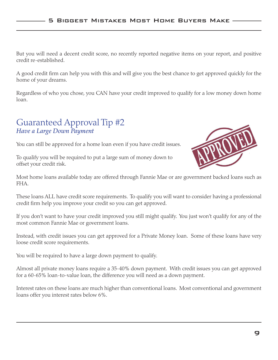But you will need a decent credit score, no recently reported negative items on your report, and positive credit re-established.

A good credit firm can help you with this and will give you the best chance to get approved quickly for the home of your dreams.

Regardless of who you chose, you CAN have your credit improved to qualify for a low money down home loan.

#### Guaranteed Approval Tip #2 *Have a Large Down Payment*

You can still be approved for a home loan even if you have credit issues.

To qualify you will be required to put a large sum of money down to offset your credit risk.



Most home loans available today are offered through Fannie Mae or are government backed loans such as FHA.

These loans ALL have credit score requirements. To qualify you will want to consider having a professional credit firm help you improve your credit so you can get approved.

If you don't want to have your credit improved you still might qualify. You just won't qualify for any of the most common Fannie Mae or government loans.

Instead, with credit issues you can get approved for a Private Money loan. Some of these loans have very loose credit score requirements.

You will be required to have a large down payment to qualify.

Almost all private money loans require a 35-40% down payment. With credit issues you can get approved for a 60-65% loan-to-value loan, the difference you will need as a down payment.

Interest rates on these loans are much higher than conventional loans. Most conventional and government loans offer you interest rates below 6%.